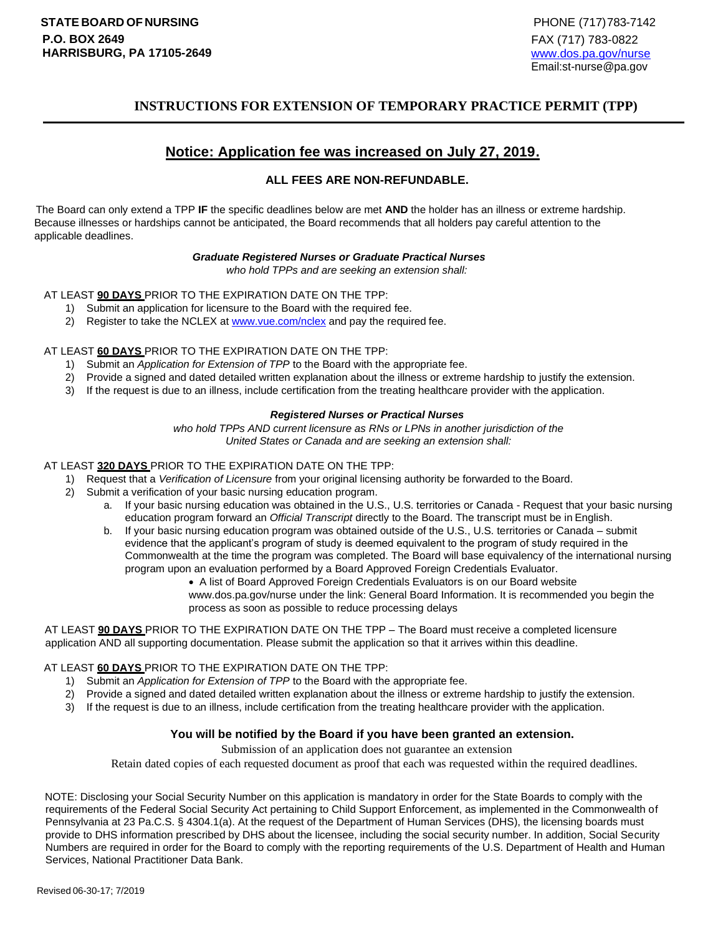# **INSTRUCTIONS FOR EXTENSION OF TEMPORARY PRACTICE PERMIT (TPP)**

# **Notice: Application fee was increased on July 27, 2019.**

#### **ALL FEES ARE NON-REFUNDABLE.**

The Board can only extend a TPP **IF** the specific deadlines below are met **AND** the holder has an illness or extreme hardship. Because illnesses or hardships cannot be anticipated, the Board recommends that all holders pay careful attention to the applicable deadlines.

#### *Graduate Registered Nurses or Graduate Practical Nurses*

*who hold TPPs and are seeking an extension shall:*

AT LEAST **90 DAYS** PRIOR TO THE EXPIRATION DATE ON THE TPP:

- 1) Submit an application for licensure to the Board with the required fee.
- 2) Register to take the NCLEX at [www.vue.com/nclex](http://www.vue.com/nclex) [an](http://www.vue.com/nclex)d pay the required fee.

#### AT LEAST **60 DAYS** PRIOR TO THE EXPIRATION DATE ON THE TPP:

- 1) Submit an *Application for Extension of TPP* to the Board with the appropriate fee.
- 2) Provide a signed and dated detailed written explanation about the illness or extreme hardship to justify the extension.
- 3) If the request is due to an illness, include certification from the treating healthcare provider with the application.

#### *Registered Nurses or Practical Nurses*

*who hold TPPs AND current licensure as RNs or LPNs in another jurisdiction of the United States or Canada and are seeking an extension shall:*

#### AT LEAST **320 DAYS** PRIOR TO THE EXPIRATION DATE ON THE TPP:

- 1) Request that a *Verification of Licensure* from your original licensing authority be forwarded to the Board.
- 2) Submit a verification of your basic nursing education program.
	- a. If your basic nursing education was obtained in the U.S., U.S. territories or Canada Request that your basic nursing education program forward an *Official Transcript* directly to the Board. The transcript must be in English.
	- b. If your basic nursing education program was obtained outside of the U.S., U.S. territories or Canada submit evidence that the applicant's program of study is deemed equivalent to the program of study required in the Commonwealth at the time the program was completed. The Board will base equivalency of the international nursing program upon an evaluation performed by a Board Approved Foreign Credentials Evaluator.
		- A list of Board Approved Foreign Credentials Evaluators is on our Board websit[e](http://www.dos.pa.gov/nurse) [www.dos.pa.gov/nurse u](http://www.dos.pa.gov/nurse)nder the link: General Board Information. It is recommended you begin the process as soon as possible to reduce processing delays

AT LEAST **90 DAYS** PRIOR TO THE EXPIRATION DATE ON THE TPP – The Board must receive a completed licensure application AND all supporting documentation. Please submit the application so that it arrives within this deadline.

#### AT LEAST **60 DAYS** PRIOR TO THE EXPIRATION DATE ON THE TPP:

- 1) Submit an *Application for Extension of TPP* to the Board with the appropriate fee.
- 2) Provide a signed and dated detailed written explanation about the illness or extreme hardship to justify the extension.
- 3) If the request is due to an illness, include certification from the treating healthcare provider with the application.

#### **You will be notified by the Board if you have been granted an extension.**

Submission of an application does not guarantee an extension

Retain dated copies of each requested document as proof that each was requested within the required deadlines.

NOTE: Disclosing your Social Security Number on this application is mandatory in order for the State Boards to comply with the requirements of the Federal Social Security Act pertaining to Child Support Enforcement, as implemented in the Commonwealth of Pennsylvania at 23 Pa.C.S. § 4304.1(a). At the request of the Department of Human Services (DHS), the licensing boards must provide to DHS information prescribed by DHS about the licensee, including the social security number. In addition, Social Security Numbers are required in order for the Board to comply with the reporting requirements of the U.S. Department of Health and Human Services, National Practitioner Data Bank.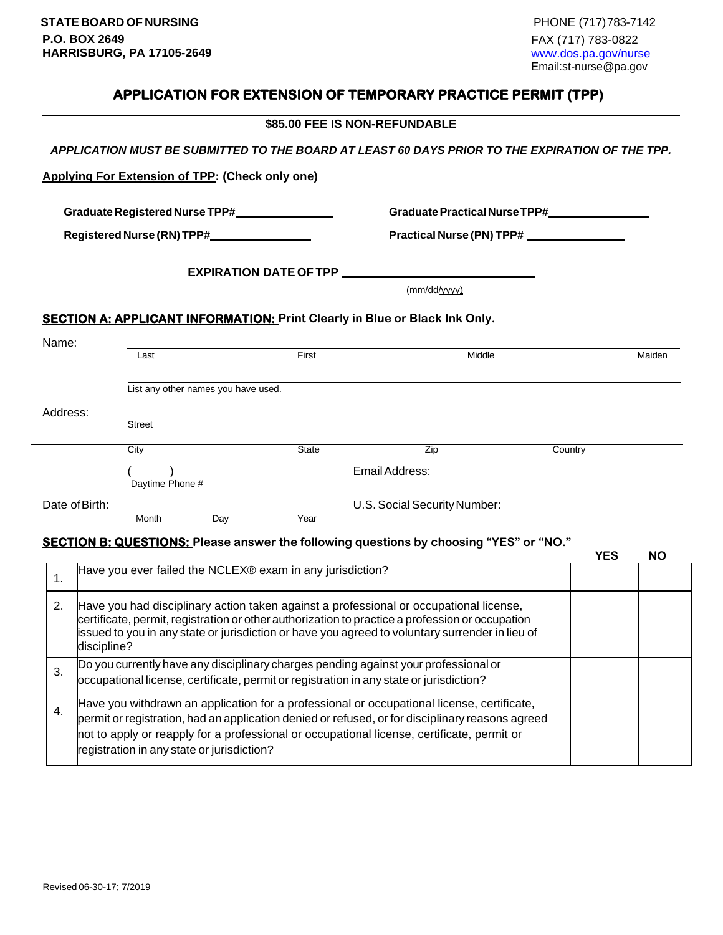# **APPLICATION FOR EXTENSION OF TEMPORARY PRACTICE PERMIT (TPP)**

|                                                                                                                                          |                                                                                                                                                                                                |                                                 |                                                           | \$85.00 FEE IS NON-REFUNDABLE                                                                                                                                                             |                                                |                         |  |
|------------------------------------------------------------------------------------------------------------------------------------------|------------------------------------------------------------------------------------------------------------------------------------------------------------------------------------------------|-------------------------------------------------|-----------------------------------------------------------|-------------------------------------------------------------------------------------------------------------------------------------------------------------------------------------------|------------------------------------------------|-------------------------|--|
|                                                                                                                                          |                                                                                                                                                                                                |                                                 |                                                           | APPLICATION MUST BE SUBMITTED TO THE BOARD AT LEAST 60 DAYS PRIOR TO THE EXPIRATION OF THE TPP.                                                                                           |                                                |                         |  |
|                                                                                                                                          |                                                                                                                                                                                                | Applying For Extension of TPP: (Check only one) |                                                           |                                                                                                                                                                                           |                                                |                         |  |
|                                                                                                                                          |                                                                                                                                                                                                |                                                 | Graduate Registered Nurse TPP#_________________           |                                                                                                                                                                                           | Graduate Practical Nurse TPP#_________________ |                         |  |
| Registered Nurse (RN) TPP#________________                                                                                               |                                                                                                                                                                                                |                                                 |                                                           |                                                                                                                                                                                           | Practical Nurse (PN) TPP#                      |                         |  |
|                                                                                                                                          |                                                                                                                                                                                                |                                                 | <b>EXPIRATION DATE OF TPP __________</b>                  |                                                                                                                                                                                           |                                                |                         |  |
|                                                                                                                                          |                                                                                                                                                                                                |                                                 |                                                           | (mm/dd/yyyy)                                                                                                                                                                              |                                                |                         |  |
|                                                                                                                                          |                                                                                                                                                                                                |                                                 |                                                           | <b>SECTION A: APPLICANT INFORMATION: Print Clearly in Blue or Black Ink Only.</b>                                                                                                         |                                                |                         |  |
| Name:                                                                                                                                    |                                                                                                                                                                                                | Last                                            | First                                                     | Middle                                                                                                                                                                                    |                                                | Maiden                  |  |
|                                                                                                                                          |                                                                                                                                                                                                |                                                 |                                                           |                                                                                                                                                                                           |                                                |                         |  |
|                                                                                                                                          |                                                                                                                                                                                                | List any other names you have used.             |                                                           |                                                                                                                                                                                           |                                                |                         |  |
| Address:                                                                                                                                 |                                                                                                                                                                                                |                                                 |                                                           |                                                                                                                                                                                           |                                                |                         |  |
|                                                                                                                                          |                                                                                                                                                                                                | Street                                          |                                                           |                                                                                                                                                                                           |                                                |                         |  |
|                                                                                                                                          |                                                                                                                                                                                                | City                                            | State                                                     | Zip                                                                                                                                                                                       | Country                                        |                         |  |
|                                                                                                                                          |                                                                                                                                                                                                | Daytime Phone #                                 |                                                           |                                                                                                                                                                                           |                                                |                         |  |
| Date of Birth:                                                                                                                           |                                                                                                                                                                                                |                                                 |                                                           | U.S. Social Security Number: U.S. Social Security Number:                                                                                                                                 |                                                |                         |  |
|                                                                                                                                          |                                                                                                                                                                                                | Day<br>Month                                    | Year                                                      |                                                                                                                                                                                           |                                                |                         |  |
|                                                                                                                                          |                                                                                                                                                                                                |                                                 |                                                           | SECTION B: QUESTIONS: Please answer the following questions by choosing "YES" or "NO."                                                                                                    |                                                | <b>YES</b><br><b>NO</b> |  |
| 1.                                                                                                                                       |                                                                                                                                                                                                |                                                 | Have you ever failed the NCLEX® exam in any jurisdiction? |                                                                                                                                                                                           |                                                |                         |  |
| 2.                                                                                                                                       |                                                                                                                                                                                                |                                                 |                                                           | Have you had disciplinary action taken against a professional or occupational license,<br>certificate, permit, registration or other authorization to practice a profession or occupation |                                                |                         |  |
| issued to you in any state or jurisdiction or have you agreed to voluntary surrender in lieu of<br>discipline?                           |                                                                                                                                                                                                |                                                 |                                                           |                                                                                                                                                                                           |                                                |                         |  |
| 3.                                                                                                                                       | Do you currently have any disciplinary charges pending against your professional or<br>occupational license, certificate, permit or registration in any state or jurisdiction?                 |                                                 |                                                           |                                                                                                                                                                                           |                                                |                         |  |
| 4.                                                                                                                                       | Have you withdrawn an application for a professional or occupational license, certificate,<br>permit or registration, had an application denied or refused, or for disciplinary reasons agreed |                                                 |                                                           |                                                                                                                                                                                           |                                                |                         |  |
| not to apply or reapply for a professional or occupational license, certificate, permit or<br>registration in any state or jurisdiction? |                                                                                                                                                                                                |                                                 |                                                           |                                                                                                                                                                                           |                                                |                         |  |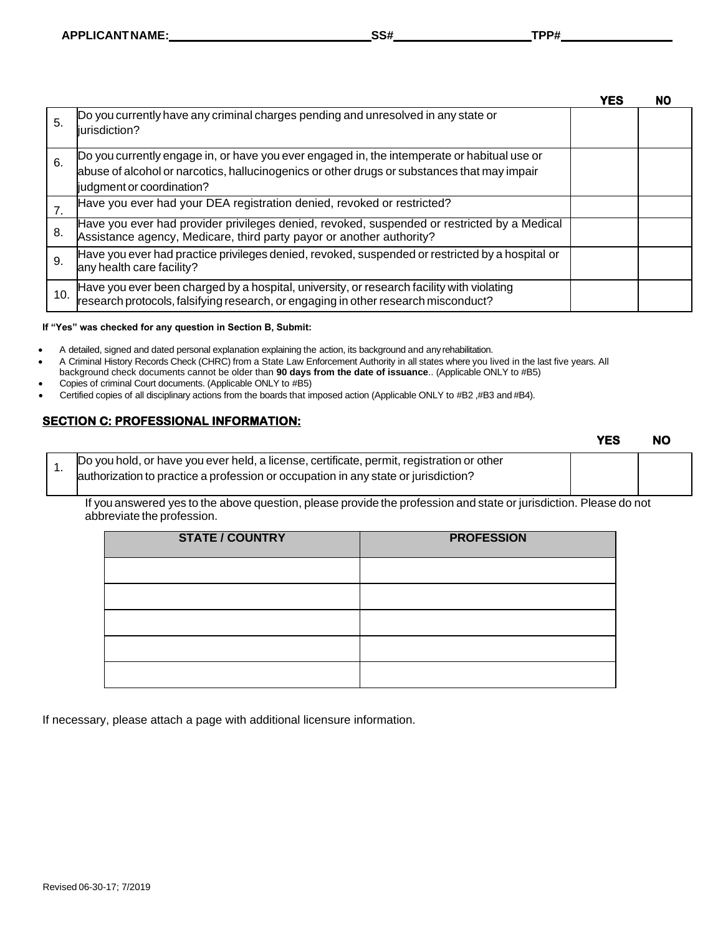|     |                                                                                                                                                                                                                         | <b>YES</b> | <b>NO</b> |
|-----|-------------------------------------------------------------------------------------------------------------------------------------------------------------------------------------------------------------------------|------------|-----------|
| 5.  | Do you currently have any criminal charges pending and unresolved in any state or<br>liurisdiction?                                                                                                                     |            |           |
| 6.  | Do you currently engage in, or have you ever engaged in, the intemperate or habitual use or<br>abuse of alcohol or narcotics, hallucinogenics or other drugs or substances that may impair<br>judgment or coordination? |            |           |
|     | Have you ever had your DEA registration denied, revoked or restricted?                                                                                                                                                  |            |           |
| 8.  | Have you ever had provider privileges denied, revoked, suspended or restricted by a Medical<br>Assistance agency, Medicare, third party payor or another authority?                                                     |            |           |
| 9.  | Have you ever had practice privileges denied, revoked, suspended or restricted by a hospital or<br>any health care facility?                                                                                            |            |           |
| 10. | Have you ever been charged by a hospital, university, or research facility with violating<br>research protocols, falsifying research, or engaging in other research misconduct?                                         |            |           |

#### **If "Yes" was checked for any question in Section B, Submit:**

- A detailed, signed and dated personal explanation explaining the action, its background and any rehabilitation.
- A Criminal History Records Check (CHRC) from a State Law Enforcement Authority in all states where you lived in the last five years. All
- background check documents cannot be older than **90 days from the date of issuance**.. (Applicable ONLY to #B5)
- Copies of criminal Court documents. (Applicable ONLY to #B5)
- Certified copies of all disciplinary actions from the boards that imposed action (Applicable ONLY to #B2 ,#B3 and #B4).

### **SECTION C: PROFESSIONAL INFORMATION:**

|  |                                                                                           | <b>YES</b> | <b>NO</b> |
|--|-------------------------------------------------------------------------------------------|------------|-----------|
|  | Do you hold, or have you ever held, a license, certificate, permit, registration or other |            |           |
|  | authorization to practice a profession or occupation in any state or jurisdiction?        |            |           |

If you answered yes to the above question, please provide the profession and state or jurisdiction. Please do not abbreviate the profession.

| <b>STATE / COUNTRY</b> | <b>PROFESSION</b> |
|------------------------|-------------------|
|                        |                   |
|                        |                   |
|                        |                   |
|                        |                   |
|                        |                   |

If necessary, please attach a page with additional licensure information.